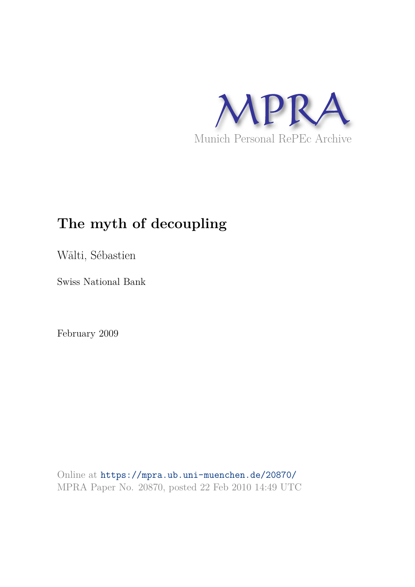

# **The myth of decoupling**

Wälti, Sébastien

Swiss National Bank

February 2009

Online at https://mpra.ub.uni-muenchen.de/20870/ MPRA Paper No. 20870, posted 22 Feb 2010 14:49 UTC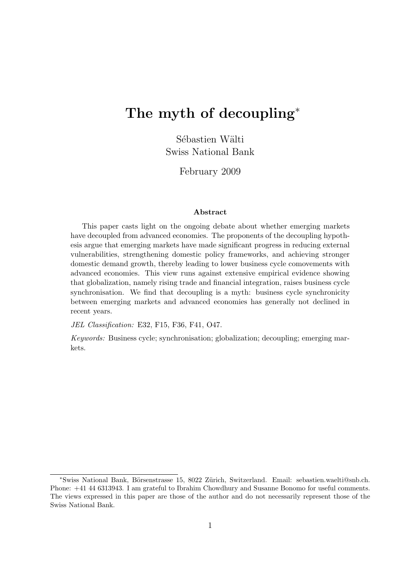# The myth of decoupling<sup>\*</sup>

Sébastien Wälti Swiss National Bank

February 2009

#### Abstract

This paper casts light on the ongoing debate about whether emerging markets have decoupled from advanced economies. The proponents of the decoupling hypothesis argue that emerging markets have made significant progress in reducing external vulnerabilities, strengthening domestic policy frameworks, and achieving stronger domestic demand growth, thereby leading to lower business cycle comovements with advanced economies. This view runs against extensive empirical evidence showing that globalization, namely rising trade and financial integration, raises business cycle synchronisation. We find that decoupling is a myth: business cycle synchronicity between emerging markets and advanced economies has generally not declined in recent years.

JEL Classification: E32, F15, F36, F41, O47.

Keywords: Business cycle; synchronisation; globalization; decoupling; emerging markets.

<sup>∗</sup>Swiss National Bank, B¨orsenstrasse 15, 8022 Z¨urich, Switzerland. Email: sebastien.waelti@snb.ch. Phone: +41 44 6313943. I am grateful to Ibrahim Chowdhury and Susanne Bonomo for useful comments. The views expressed in this paper are those of the author and do not necessarily represent those of the Swiss National Bank.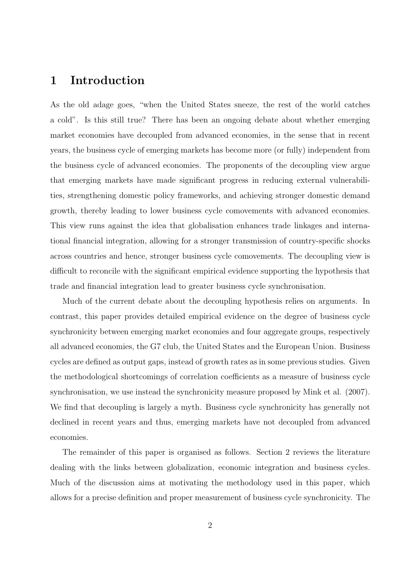## 1 Introduction

As the old adage goes, "when the United States sneeze, the rest of the world catches a cold". Is this still true? There has been an ongoing debate about whether emerging market economies have decoupled from advanced economies, in the sense that in recent years, the business cycle of emerging markets has become more (or fully) independent from the business cycle of advanced economies. The proponents of the decoupling view argue that emerging markets have made significant progress in reducing external vulnerabilities, strengthening domestic policy frameworks, and achieving stronger domestic demand growth, thereby leading to lower business cycle comovements with advanced economies. This view runs against the idea that globalisation enhances trade linkages and international financial integration, allowing for a stronger transmission of country-specific shocks across countries and hence, stronger business cycle comovements. The decoupling view is difficult to reconcile with the significant empirical evidence supporting the hypothesis that trade and financial integration lead to greater business cycle synchronisation.

Much of the current debate about the decoupling hypothesis relies on arguments. In contrast, this paper provides detailed empirical evidence on the degree of business cycle synchronicity between emerging market economies and four aggregate groups, respectively all advanced economies, the G7 club, the United States and the European Union. Business cycles are defined as output gaps, instead of growth rates as in some previous studies. Given the methodological shortcomings of correlation coefficients as a measure of business cycle synchronisation, we use instead the synchronicity measure proposed by Mink et al. (2007). We find that decoupling is largely a myth. Business cycle synchronicity has generally not declined in recent years and thus, emerging markets have not decoupled from advanced economies.

The remainder of this paper is organised as follows. Section 2 reviews the literature dealing with the links between globalization, economic integration and business cycles. Much of the discussion aims at motivating the methodology used in this paper, which allows for a precise definition and proper measurement of business cycle synchronicity. The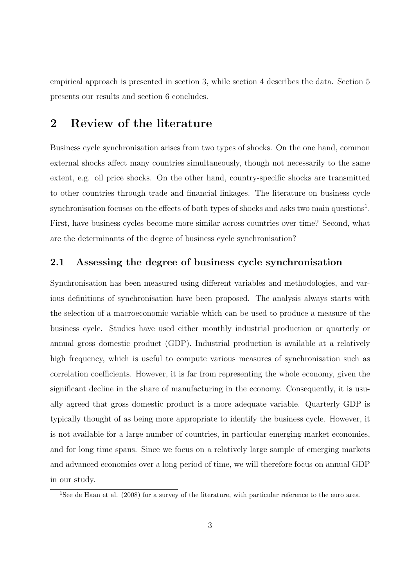empirical approach is presented in section 3, while section 4 describes the data. Section 5 presents our results and section 6 concludes.

## 2 Review of the literature

Business cycle synchronisation arises from two types of shocks. On the one hand, common external shocks affect many countries simultaneously, though not necessarily to the same extent, e.g. oil price shocks. On the other hand, country-specific shocks are transmitted to other countries through trade and financial linkages. The literature on business cycle synchronisation focuses on the effects of both types of shocks and asks two main questions<sup>1</sup>. First, have business cycles become more similar across countries over time? Second, what are the determinants of the degree of business cycle synchronisation?

### 2.1 Assessing the degree of business cycle synchronisation

Synchronisation has been measured using different variables and methodologies, and various definitions of synchronisation have been proposed. The analysis always starts with the selection of a macroeconomic variable which can be used to produce a measure of the business cycle. Studies have used either monthly industrial production or quarterly or annual gross domestic product (GDP). Industrial production is available at a relatively high frequency, which is useful to compute various measures of synchronisation such as correlation coefficients. However, it is far from representing the whole economy, given the significant decline in the share of manufacturing in the economy. Consequently, it is usually agreed that gross domestic product is a more adequate variable. Quarterly GDP is typically thought of as being more appropriate to identify the business cycle. However, it is not available for a large number of countries, in particular emerging market economies, and for long time spans. Since we focus on a relatively large sample of emerging markets and advanced economies over a long period of time, we will therefore focus on annual GDP in our study.

<sup>1</sup>See de Haan et al. (2008) for a survey of the literature, with particular reference to the euro area.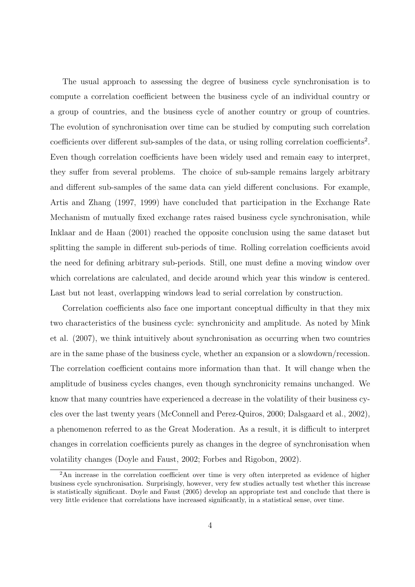The usual approach to assessing the degree of business cycle synchronisation is to compute a correlation coefficient between the business cycle of an individual country or a group of countries, and the business cycle of another country or group of countries. The evolution of synchronisation over time can be studied by computing such correlation coefficients over different sub-samples of the data, or using rolling correlation coefficients<sup>2</sup>. Even though correlation coefficients have been widely used and remain easy to interpret, they suffer from several problems. The choice of sub-sample remains largely arbitrary and different sub-samples of the same data can yield different conclusions. For example, Artis and Zhang (1997, 1999) have concluded that participation in the Exchange Rate Mechanism of mutually fixed exchange rates raised business cycle synchronisation, while Inklaar and de Haan (2001) reached the opposite conclusion using the same dataset but splitting the sample in different sub-periods of time. Rolling correlation coefficients avoid the need for defining arbitrary sub-periods. Still, one must define a moving window over which correlations are calculated, and decide around which year this window is centered. Last but not least, overlapping windows lead to serial correlation by construction.

Correlation coefficients also face one important conceptual difficulty in that they mix two characteristics of the business cycle: synchronicity and amplitude. As noted by Mink et al. (2007), we think intuitively about synchronisation as occurring when two countries are in the same phase of the business cycle, whether an expansion or a slowdown/recession. The correlation coefficient contains more information than that. It will change when the amplitude of business cycles changes, even though synchronicity remains unchanged. We know that many countries have experienced a decrease in the volatility of their business cycles over the last twenty years (McConnell and Perez-Quiros, 2000; Dalsgaard et al., 2002), a phenomenon referred to as the Great Moderation. As a result, it is difficult to interpret changes in correlation coefficients purely as changes in the degree of synchronisation when volatility changes (Doyle and Faust, 2002; Forbes and Rigobon, 2002).

<sup>&</sup>lt;sup>2</sup>An increase in the correlation coefficient over time is very often interpreted as evidence of higher business cycle synchronisation. Surprisingly, however, very few studies actually test whether this increase is statistically significant. Doyle and Faust (2005) develop an appropriate test and conclude that there is very little evidence that correlations have increased significantly, in a statistical sense, over time.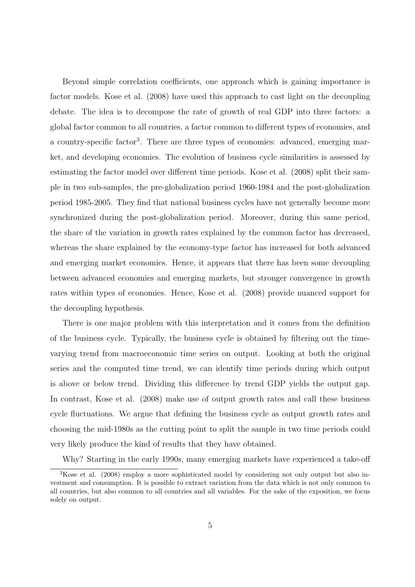Beyond simple correlation coefficients, one approach which is gaining importance is factor models. Kose et al. (2008) have used this approach to cast light on the decoupling debate. The idea is to decompose the rate of growth of real GDP into three factors: a global factor common to all countries, a factor common to different types of economies, and a country-specific factor<sup>3</sup>. There are three types of economies: advanced, emerging market, and developing economies. The evolution of business cycle similarities is assessed by estimating the factor model over different time periods. Kose et al. (2008) split their sample in two sub-samples, the pre-globalization period 1960-1984 and the post-globalization period 1985-2005. They find that national business cycles have not generally become more synchronized during the post-globalization period. Moreover, during this same period, the share of the variation in growth rates explained by the common factor has decreased, whereas the share explained by the economy-type factor has increased for both advanced and emerging market economies. Hence, it appears that there has been some decoupling between advanced economies and emerging markets, but stronger convergence in growth rates within types of economies. Hence, Kose et al. (2008) provide nuanced support for the decoupling hypothesis.

There is one major problem with this interpretation and it comes from the definition of the business cycle. Typically, the business cycle is obtained by filtering out the timevarying trend from macroeconomic time series on output. Looking at both the original series and the computed time trend, we can identify time periods during which output is above or below trend. Dividing this difference by trend GDP yields the output gap. In contrast, Kose et al. (2008) make use of output growth rates and call these business cycle fluctuations. We argue that defining the business cycle as output growth rates and choosing the mid-1980s as the cutting point to split the sample in two time periods could very likely produce the kind of results that they have obtained.

Why? Starting in the early 1990s, many emerging markets have experienced a take-off

<sup>&</sup>lt;sup>3</sup>Kose et al. (2008) employ a more sophisticated model by considering not only output but also investment and consumption. It is possible to extract variation from the data which is not only common to all countries, but also common to all countries and all variables. For the sake of the exposition, we focus solely on output.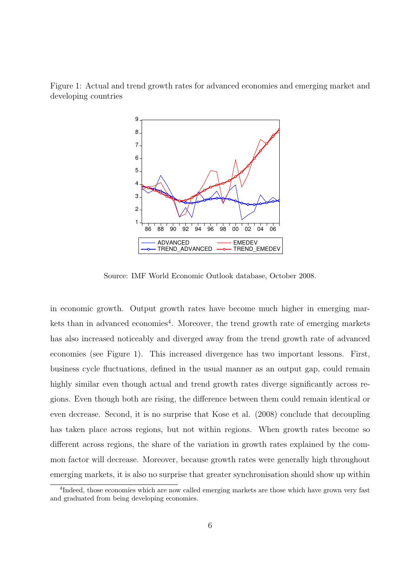Figure 1: Actual and trend growth rates for advanced economies and emerging market and developing countries



Source: IMF World Economic Outlook database, October 2008.

in economic growth. Output growth rates have become much higher in emerging markets than in advanced economies<sup>4</sup>. Moreover, the trend growth rate of emerging markets has also increased noticeably and diverged away from the trend growth rate of advanced economies (see Figure 1). This increased divergence has two important lessons. First, business cycle fluctuations, defined in the usual manner as an output gap, could remain highly similar even though actual and trend growth rates diverge significantly across regions. Even though both are rising, the difference between them could remain identical or even decrease. Second, it is no surprise that Kose et al. (2008) conclude that decoupling has taken place across regions, but not within regions. When growth rates become so different across regions, the share of the variation in growth rates explained by the common factor will decrease. Moreover, because growth rates were generally high throughout emerging markets, it is also no surprise that greater synchronisation should show up within

<sup>&</sup>lt;sup>4</sup>Indeed, those economies which are now called emerging markets are those which have grown very fast and graduated from being developing economies.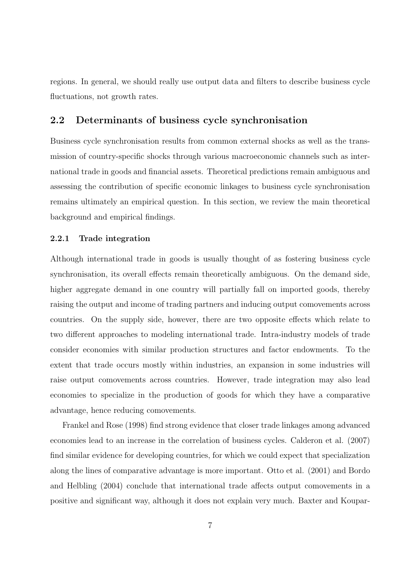regions. In general, we should really use output data and filters to describe business cycle fluctuations, not growth rates.

### 2.2 Determinants of business cycle synchronisation

Business cycle synchronisation results from common external shocks as well as the transmission of country-specific shocks through various macroeconomic channels such as international trade in goods and financial assets. Theoretical predictions remain ambiguous and assessing the contribution of specific economic linkages to business cycle synchronisation remains ultimately an empirical question. In this section, we review the main theoretical background and empirical findings.

#### 2.2.1 Trade integration

Although international trade in goods is usually thought of as fostering business cycle synchronisation, its overall effects remain theoretically ambiguous. On the demand side, higher aggregate demand in one country will partially fall on imported goods, thereby raising the output and income of trading partners and inducing output comovements across countries. On the supply side, however, there are two opposite effects which relate to two different approaches to modeling international trade. Intra-industry models of trade consider economies with similar production structures and factor endowments. To the extent that trade occurs mostly within industries, an expansion in some industries will raise output comovements across countries. However, trade integration may also lead economies to specialize in the production of goods for which they have a comparative advantage, hence reducing comovements.

Frankel and Rose (1998) find strong evidence that closer trade linkages among advanced economies lead to an increase in the correlation of business cycles. Calderon et al. (2007) find similar evidence for developing countries, for which we could expect that specialization along the lines of comparative advantage is more important. Otto et al. (2001) and Bordo and Helbling (2004) conclude that international trade affects output comovements in a positive and significant way, although it does not explain very much. Baxter and Koupar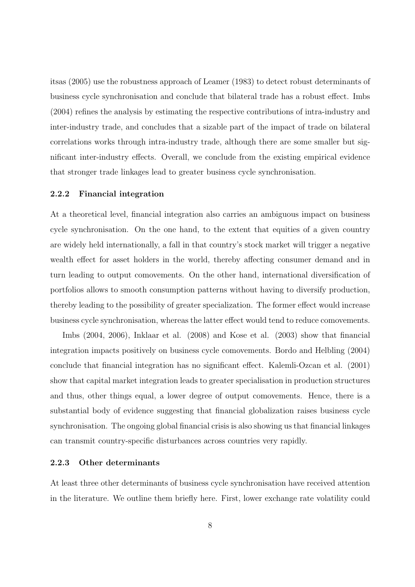itsas (2005) use the robustness approach of Leamer (1983) to detect robust determinants of business cycle synchronisation and conclude that bilateral trade has a robust effect. Imbs (2004) refines the analysis by estimating the respective contributions of intra-industry and inter-industry trade, and concludes that a sizable part of the impact of trade on bilateral correlations works through intra-industry trade, although there are some smaller but significant inter-industry effects. Overall, we conclude from the existing empirical evidence that stronger trade linkages lead to greater business cycle synchronisation.

#### 2.2.2 Financial integration

At a theoretical level, financial integration also carries an ambiguous impact on business cycle synchronisation. On the one hand, to the extent that equities of a given country are widely held internationally, a fall in that country's stock market will trigger a negative wealth effect for asset holders in the world, thereby affecting consumer demand and in turn leading to output comovements. On the other hand, international diversification of portfolios allows to smooth consumption patterns without having to diversify production, thereby leading to the possibility of greater specialization. The former effect would increase business cycle synchronisation, whereas the latter effect would tend to reduce comovements.

Imbs (2004, 2006), Inklaar et al. (2008) and Kose et al. (2003) show that financial integration impacts positively on business cycle comovements. Bordo and Helbling (2004) conclude that financial integration has no significant effect. Kalemli-Ozcan et al. (2001) show that capital market integration leads to greater specialisation in production structures and thus, other things equal, a lower degree of output comovements. Hence, there is a substantial body of evidence suggesting that financial globalization raises business cycle synchronisation. The ongoing global financial crisis is also showing us that financial linkages can transmit country-specific disturbances across countries very rapidly.

#### 2.2.3 Other determinants

At least three other determinants of business cycle synchronisation have received attention in the literature. We outline them briefly here. First, lower exchange rate volatility could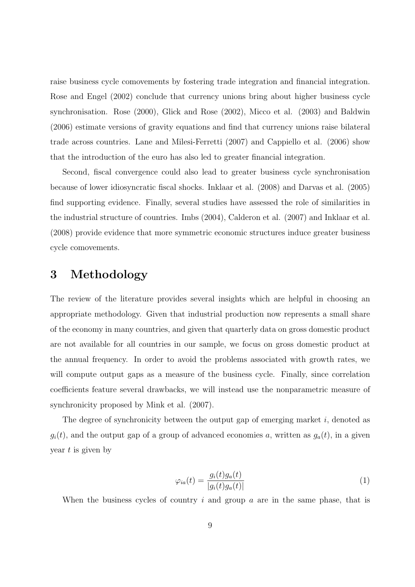raise business cycle comovements by fostering trade integration and financial integration. Rose and Engel (2002) conclude that currency unions bring about higher business cycle synchronisation. Rose (2000), Glick and Rose (2002), Micco et al. (2003) and Baldwin (2006) estimate versions of gravity equations and find that currency unions raise bilateral trade across countries. Lane and Milesi-Ferretti (2007) and Cappiello et al. (2006) show that the introduction of the euro has also led to greater financial integration.

Second, fiscal convergence could also lead to greater business cycle synchronisation because of lower idiosyncratic fiscal shocks. Inklaar et al. (2008) and Darvas et al. (2005) find supporting evidence. Finally, several studies have assessed the role of similarities in the industrial structure of countries. Imbs (2004), Calderon et al. (2007) and Inklaar et al. (2008) provide evidence that more symmetric economic structures induce greater business cycle comovements.

## 3 Methodology

The review of the literature provides several insights which are helpful in choosing an appropriate methodology. Given that industrial production now represents a small share of the economy in many countries, and given that quarterly data on gross domestic product are not available for all countries in our sample, we focus on gross domestic product at the annual frequency. In order to avoid the problems associated with growth rates, we will compute output gaps as a measure of the business cycle. Finally, since correlation coefficients feature several drawbacks, we will instead use the nonparametric measure of synchronicity proposed by Mink et al. (2007).

The degree of synchronicity between the output gap of emerging market  $i$ , denoted as  $g_i(t)$ , and the output gap of a group of advanced economies a, written as  $g_a(t)$ , in a given year  $t$  is given by

$$
\varphi_{ia}(t) = \frac{g_i(t)g_a(t)}{|g_i(t)g_a(t)|} \tag{1}
$$

When the business cycles of country  $i$  and group  $a$  are in the same phase, that is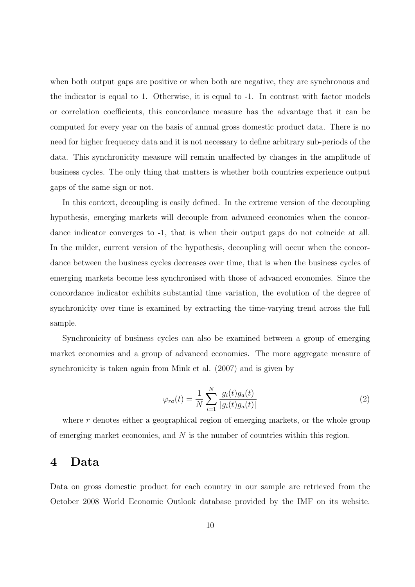when both output gaps are positive or when both are negative, they are synchronous and the indicator is equal to 1. Otherwise, it is equal to -1. In contrast with factor models or correlation coefficients, this concordance measure has the advantage that it can be computed for every year on the basis of annual gross domestic product data. There is no need for higher frequency data and it is not necessary to define arbitrary sub-periods of the data. This synchronicity measure will remain unaffected by changes in the amplitude of business cycles. The only thing that matters is whether both countries experience output gaps of the same sign or not.

In this context, decoupling is easily defined. In the extreme version of the decoupling hypothesis, emerging markets will decouple from advanced economies when the concordance indicator converges to -1, that is when their output gaps do not coincide at all. In the milder, current version of the hypothesis, decoupling will occur when the concordance between the business cycles decreases over time, that is when the business cycles of emerging markets become less synchronised with those of advanced economies. Since the concordance indicator exhibits substantial time variation, the evolution of the degree of synchronicity over time is examined by extracting the time-varying trend across the full sample.

Synchronicity of business cycles can also be examined between a group of emerging market economies and a group of advanced economies. The more aggregate measure of synchronicity is taken again from Mink et al. (2007) and is given by

$$
\varphi_{ra}(t) = \frac{1}{N} \sum_{i=1}^{N} \frac{g_i(t)g_a(t)}{|g_i(t)g_a(t)|}
$$
\n(2)

where r denotes either a geographical region of emerging markets, or the whole group of emerging market economies, and  $N$  is the number of countries within this region.

## 4 Data

Data on gross domestic product for each country in our sample are retrieved from the October 2008 World Economic Outlook database provided by the IMF on its website.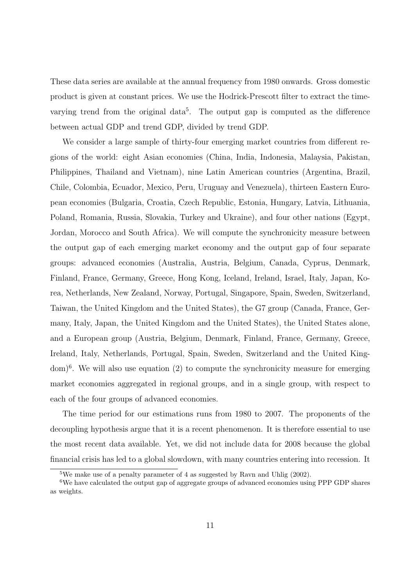These data series are available at the annual frequency from 1980 onwards. Gross domestic product is given at constant prices. We use the Hodrick-Prescott filter to extract the timevarying trend from the original data<sup>5</sup>. The output gap is computed as the difference between actual GDP and trend GDP, divided by trend GDP.

We consider a large sample of thirty-four emerging market countries from different regions of the world: eight Asian economies (China, India, Indonesia, Malaysia, Pakistan, Philippines, Thailand and Vietnam), nine Latin American countries (Argentina, Brazil, Chile, Colombia, Ecuador, Mexico, Peru, Uruguay and Venezuela), thirteen Eastern European economies (Bulgaria, Croatia, Czech Republic, Estonia, Hungary, Latvia, Lithuania, Poland, Romania, Russia, Slovakia, Turkey and Ukraine), and four other nations (Egypt, Jordan, Morocco and South Africa). We will compute the synchronicity measure between the output gap of each emerging market economy and the output gap of four separate groups: advanced economies (Australia, Austria, Belgium, Canada, Cyprus, Denmark, Finland, France, Germany, Greece, Hong Kong, Iceland, Ireland, Israel, Italy, Japan, Korea, Netherlands, New Zealand, Norway, Portugal, Singapore, Spain, Sweden, Switzerland, Taiwan, the United Kingdom and the United States), the G7 group (Canada, France, Germany, Italy, Japan, the United Kingdom and the United States), the United States alone, and a European group (Austria, Belgium, Denmark, Finland, France, Germany, Greece, Ireland, Italy, Netherlands, Portugal, Spain, Sweden, Switzerland and the United Kingdom)<sup>6</sup>. We will also use equation (2) to compute the synchronicity measure for emerging market economies aggregated in regional groups, and in a single group, with respect to each of the four groups of advanced economies.

The time period for our estimations runs from 1980 to 2007. The proponents of the decoupling hypothesis argue that it is a recent phenomenon. It is therefore essential to use the most recent data available. Yet, we did not include data for 2008 because the global financial crisis has led to a global slowdown, with many countries entering into recession. It

<sup>&</sup>lt;sup>5</sup>We make use of a penalty parameter of 4 as suggested by Ravn and Uhlig  $(2002)$ .

 $6$ We have calculated the output gap of aggregate groups of advanced economies using PPP GDP shares as weights.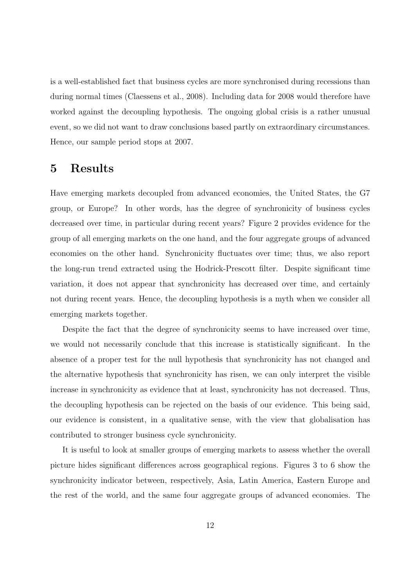is a well-established fact that business cycles are more synchronised during recessions than during normal times (Claessens et al., 2008). Including data for 2008 would therefore have worked against the decoupling hypothesis. The ongoing global crisis is a rather unusual event, so we did not want to draw conclusions based partly on extraordinary circumstances. Hence, our sample period stops at 2007.

# 5 Results

Have emerging markets decoupled from advanced economies, the United States, the G7 group, or Europe? In other words, has the degree of synchronicity of business cycles decreased over time, in particular during recent years? Figure 2 provides evidence for the group of all emerging markets on the one hand, and the four aggregate groups of advanced economies on the other hand. Synchronicity fluctuates over time; thus, we also report the long-run trend extracted using the Hodrick-Prescott filter. Despite significant time variation, it does not appear that synchronicity has decreased over time, and certainly not during recent years. Hence, the decoupling hypothesis is a myth when we consider all emerging markets together.

Despite the fact that the degree of synchronicity seems to have increased over time, we would not necessarily conclude that this increase is statistically significant. In the absence of a proper test for the null hypothesis that synchronicity has not changed and the alternative hypothesis that synchronicity has risen, we can only interpret the visible increase in synchronicity as evidence that at least, synchronicity has not decreased. Thus, the decoupling hypothesis can be rejected on the basis of our evidence. This being said, our evidence is consistent, in a qualitative sense, with the view that globalisation has contributed to stronger business cycle synchronicity.

It is useful to look at smaller groups of emerging markets to assess whether the overall picture hides significant differences across geographical regions. Figures 3 to 6 show the synchronicity indicator between, respectively, Asia, Latin America, Eastern Europe and the rest of the world, and the same four aggregate groups of advanced economies. The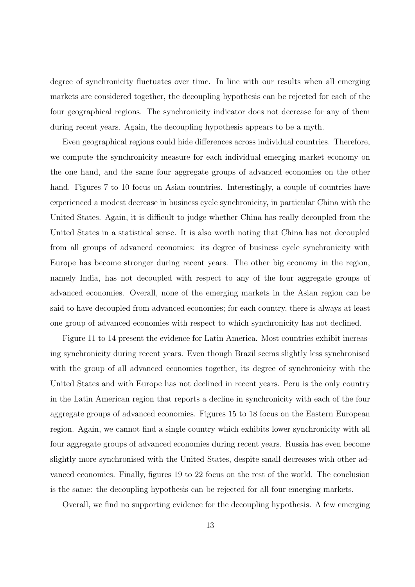degree of synchronicity fluctuates over time. In line with our results when all emerging markets are considered together, the decoupling hypothesis can be rejected for each of the four geographical regions. The synchronicity indicator does not decrease for any of them during recent years. Again, the decoupling hypothesis appears to be a myth.

Even geographical regions could hide differences across individual countries. Therefore, we compute the synchronicity measure for each individual emerging market economy on the one hand, and the same four aggregate groups of advanced economies on the other hand. Figures 7 to 10 focus on Asian countries. Interestingly, a couple of countries have experienced a modest decrease in business cycle synchronicity, in particular China with the United States. Again, it is difficult to judge whether China has really decoupled from the United States in a statistical sense. It is also worth noting that China has not decoupled from all groups of advanced economies: its degree of business cycle synchronicity with Europe has become stronger during recent years. The other big economy in the region, namely India, has not decoupled with respect to any of the four aggregate groups of advanced economies. Overall, none of the emerging markets in the Asian region can be said to have decoupled from advanced economies; for each country, there is always at least one group of advanced economies with respect to which synchronicity has not declined.

Figure 11 to 14 present the evidence for Latin America. Most countries exhibit increasing synchronicity during recent years. Even though Brazil seems slightly less synchronised with the group of all advanced economies together, its degree of synchronicity with the United States and with Europe has not declined in recent years. Peru is the only country in the Latin American region that reports a decline in synchronicity with each of the four aggregate groups of advanced economies. Figures 15 to 18 focus on the Eastern European region. Again, we cannot find a single country which exhibits lower synchronicity with all four aggregate groups of advanced economies during recent years. Russia has even become slightly more synchronised with the United States, despite small decreases with other advanced economies. Finally, figures 19 to 22 focus on the rest of the world. The conclusion is the same: the decoupling hypothesis can be rejected for all four emerging markets.

Overall, we find no supporting evidence for the decoupling hypothesis. A few emerging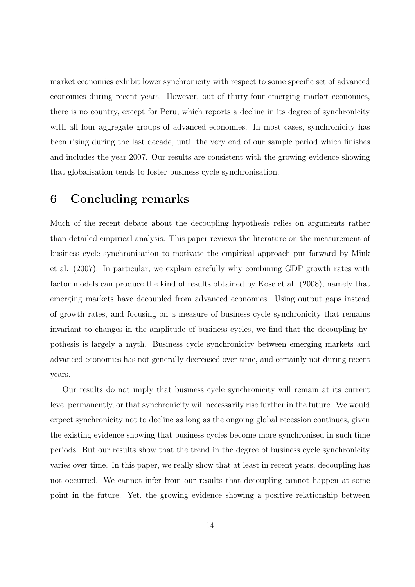market economies exhibit lower synchronicity with respect to some specific set of advanced economies during recent years. However, out of thirty-four emerging market economies, there is no country, except for Peru, which reports a decline in its degree of synchronicity with all four aggregate groups of advanced economies. In most cases, synchronicity has been rising during the last decade, until the very end of our sample period which finishes and includes the year 2007. Our results are consistent with the growing evidence showing that globalisation tends to foster business cycle synchronisation.

## 6 Concluding remarks

Much of the recent debate about the decoupling hypothesis relies on arguments rather than detailed empirical analysis. This paper reviews the literature on the measurement of business cycle synchronisation to motivate the empirical approach put forward by Mink et al. (2007). In particular, we explain carefully why combining GDP growth rates with factor models can produce the kind of results obtained by Kose et al. (2008), namely that emerging markets have decoupled from advanced economies. Using output gaps instead of growth rates, and focusing on a measure of business cycle synchronicity that remains invariant to changes in the amplitude of business cycles, we find that the decoupling hypothesis is largely a myth. Business cycle synchronicity between emerging markets and advanced economies has not generally decreased over time, and certainly not during recent years.

Our results do not imply that business cycle synchronicity will remain at its current level permanently, or that synchronicity will necessarily rise further in the future. We would expect synchronicity not to decline as long as the ongoing global recession continues, given the existing evidence showing that business cycles become more synchronised in such time periods. But our results show that the trend in the degree of business cycle synchronicity varies over time. In this paper, we really show that at least in recent years, decoupling has not occurred. We cannot infer from our results that decoupling cannot happen at some point in the future. Yet, the growing evidence showing a positive relationship between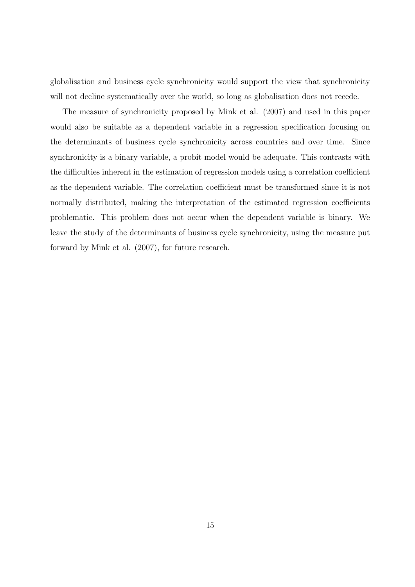globalisation and business cycle synchronicity would support the view that synchronicity will not decline systematically over the world, so long as globalisation does not recede.

The measure of synchronicity proposed by Mink et al. (2007) and used in this paper would also be suitable as a dependent variable in a regression specification focusing on the determinants of business cycle synchronicity across countries and over time. Since synchronicity is a binary variable, a probit model would be adequate. This contrasts with the difficulties inherent in the estimation of regression models using a correlation coefficient as the dependent variable. The correlation coefficient must be transformed since it is not normally distributed, making the interpretation of the estimated regression coefficients problematic. This problem does not occur when the dependent variable is binary. We leave the study of the determinants of business cycle synchronicity, using the measure put forward by Mink et al. (2007), for future research.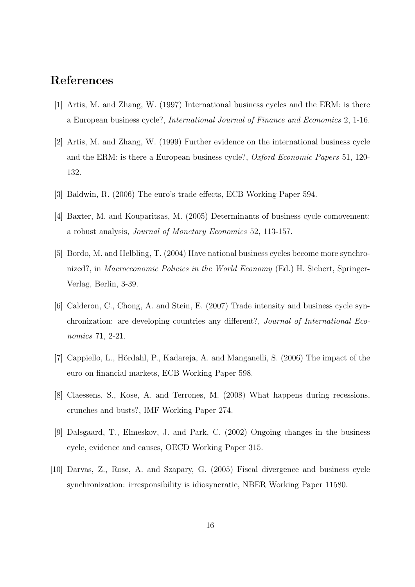# References

- [1] Artis, M. and Zhang, W. (1997) International business cycles and the ERM: is there a European business cycle?, International Journal of Finance and Economics 2, 1-16.
- [2] Artis, M. and Zhang, W. (1999) Further evidence on the international business cycle and the ERM: is there a European business cycle?, Oxford Economic Papers 51, 120- 132.
- [3] Baldwin, R. (2006) The euro's trade effects, ECB Working Paper 594.
- [4] Baxter, M. and Kouparitsas, M. (2005) Determinants of business cycle comovement: a robust analysis, Journal of Monetary Economics 52, 113-157.
- [5] Bordo, M. and Helbling, T. (2004) Have national business cycles become more synchronized?, in Macroeconomic Policies in the World Economy (Ed.) H. Siebert, Springer-Verlag, Berlin, 3-39.
- [6] Calderon, C., Chong, A. and Stein, E. (2007) Trade intensity and business cycle synchronization: are developing countries any different?, Journal of International Economics 71, 2-21.
- [7] Cappiello, L., Hördahl, P., Kadareja, A. and Manganelli, S. (2006) The impact of the euro on financial markets, ECB Working Paper 598.
- [8] Claessens, S., Kose, A. and Terrones, M. (2008) What happens during recessions, crunches and busts?, IMF Working Paper 274.
- [9] Dalsgaard, T., Elmeskov, J. and Park, C. (2002) Ongoing changes in the business cycle, evidence and causes, OECD Working Paper 315.
- [10] Darvas, Z., Rose, A. and Szapary, G. (2005) Fiscal divergence and business cycle synchronization: irresponsibility is idiosyncratic, NBER Working Paper 11580.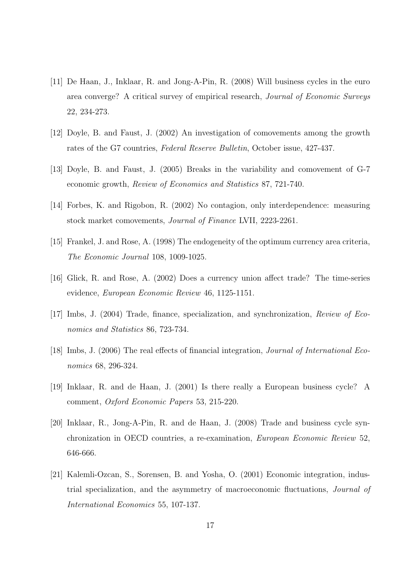- [11] De Haan, J., Inklaar, R. and Jong-A-Pin, R. (2008) Will business cycles in the euro area converge? A critical survey of empirical research, Journal of Economic Surveys 22, 234-273.
- [12] Doyle, B. and Faust, J. (2002) An investigation of comovements among the growth rates of the G7 countries, Federal Reserve Bulletin, October issue, 427-437.
- [13] Doyle, B. and Faust, J. (2005) Breaks in the variability and comovement of G-7 economic growth, Review of Economics and Statistics 87, 721-740.
- [14] Forbes, K. and Rigobon, R. (2002) No contagion, only interdependence: measuring stock market comovements, Journal of Finance LVII, 2223-2261.
- [15] Frankel, J. and Rose, A. (1998) The endogeneity of the optimum currency area criteria, The Economic Journal 108, 1009-1025.
- [16] Glick, R. and Rose, A. (2002) Does a currency union affect trade? The time-series evidence, European Economic Review 46, 1125-1151.
- [17] Imbs, J. (2004) Trade, finance, specialization, and synchronization, Review of Economics and Statistics 86, 723-734.
- [18] Imbs, J. (2006) The real effects of financial integration, Journal of International Economics 68, 296-324.
- [19] Inklaar, R. and de Haan, J. (2001) Is there really a European business cycle? A comment, Oxford Economic Papers 53, 215-220.
- [20] Inklaar, R., Jong-A-Pin, R. and de Haan, J. (2008) Trade and business cycle synchronization in OECD countries, a re-examination, European Economic Review 52, 646-666.
- [21] Kalemli-Ozcan, S., Sorensen, B. and Yosha, O. (2001) Economic integration, industrial specialization, and the asymmetry of macroeconomic fluctuations, Journal of International Economics 55, 107-137.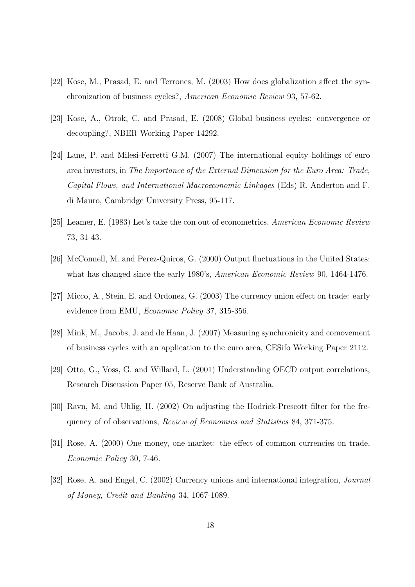- [22] Kose, M., Prasad, E. and Terrones, M. (2003) How does globalization affect the synchronization of business cycles?, American Economic Review 93, 57-62.
- [23] Kose, A., Otrok, C. and Prasad, E. (2008) Global business cycles: convergence or decoupling?, NBER Working Paper 14292.
- [24] Lane, P. and Milesi-Ferretti G.M. (2007) The international equity holdings of euro area investors, in The Importance of the External Dimension for the Euro Area: Trade, Capital Flows, and International Macroeconomic Linkages (Eds) R. Anderton and F. di Mauro, Cambridge University Press, 95-117.
- [25] Leamer, E. (1983) Let's take the con out of econometrics, American Economic Review 73, 31-43.
- [26] McConnell, M. and Perez-Quiros, G. (2000) Output fluctuations in the United States: what has changed since the early 1980's, American Economic Review 90, 1464-1476.
- [27] Micco, A., Stein, E. and Ordonez, G. (2003) The currency union effect on trade: early evidence from EMU, Economic Policy 37, 315-356.
- [28] Mink, M., Jacobs, J. and de Haan, J. (2007) Measuring synchronicity and comovement of business cycles with an application to the euro area, CESifo Working Paper 2112.
- [29] Otto, G., Voss, G. and Willard, L. (2001) Understanding OECD output correlations, Research Discussion Paper 05, Reserve Bank of Australia.
- [30] Ravn, M. and Uhlig, H. (2002) On adjusting the Hodrick-Prescott filter for the frequency of of observations, Review of Economics and Statistics 84, 371-375.
- [31] Rose, A. (2000) One money, one market: the effect of common currencies on trade, Economic Policy 30, 7-46.
- [32] Rose, A. and Engel, C. (2002) Currency unions and international integration, Journal of Money, Credit and Banking 34, 1067-1089.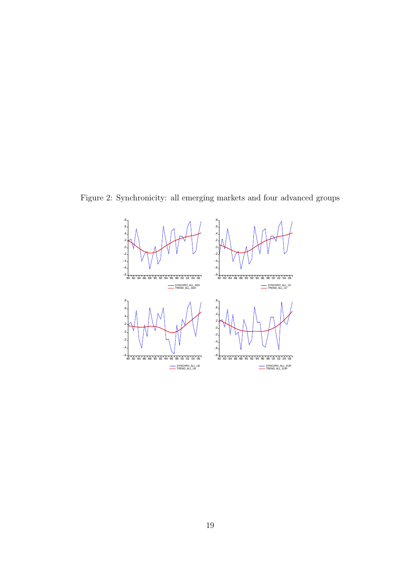Figure 2: Synchronicity: all emerging markets and four advanced groups

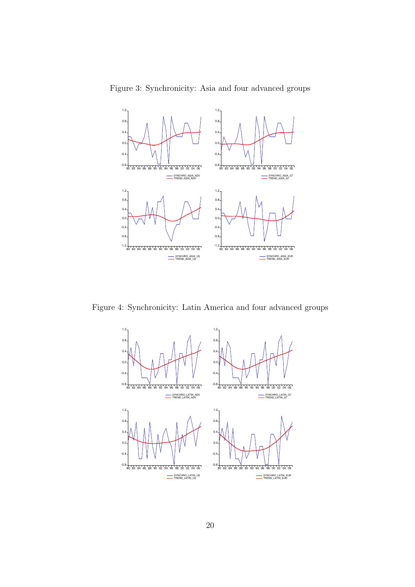Figure 3: Synchronicity: Asia and four advanced groups



Figure 4: Synchronicity: Latin America and four advanced groups

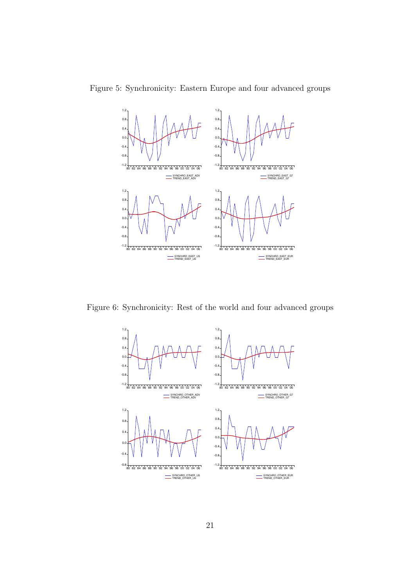Figure 5: Synchronicity: Eastern Europe and four advanced groups



Figure 6: Synchronicity: Rest of the world and four advanced groups

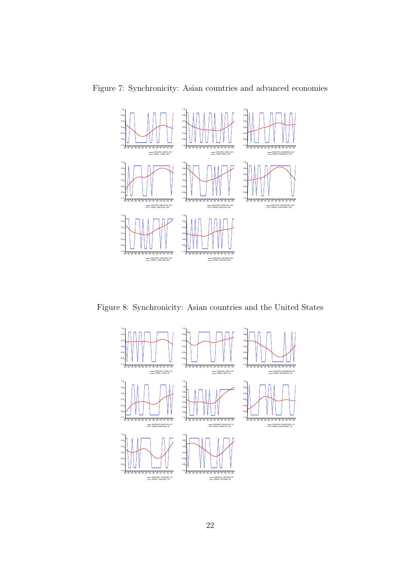Figure 7: Synchronicity: Asian countries and advanced economies



Figure 8: Synchronicity: Asian countries and the United States

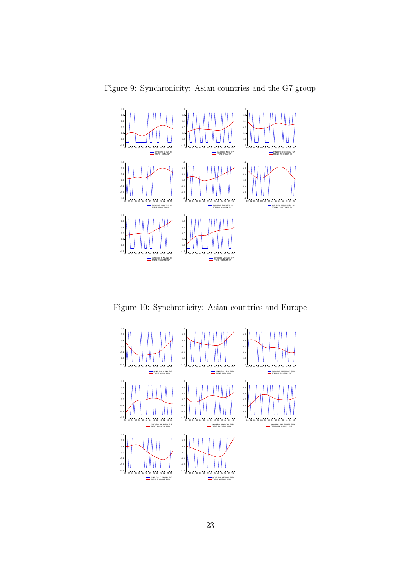Figure 9: Synchronicity: Asian countries and the G7 group



Figure 10: Synchronicity: Asian countries and Europe

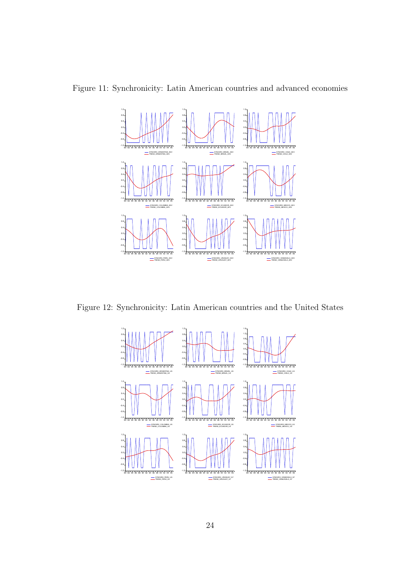Figure 11: Synchronicity: Latin American countries and advanced economies



Figure 12: Synchronicity: Latin American countries and the United States

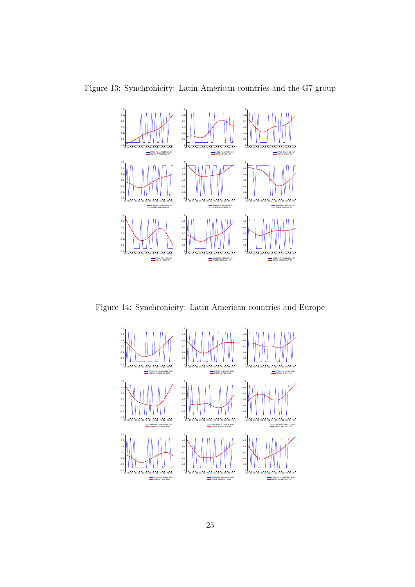Figure 13: Synchronicity: Latin American countries and the G7 group



Figure 14: Synchronicity: Latin American countries and Europe

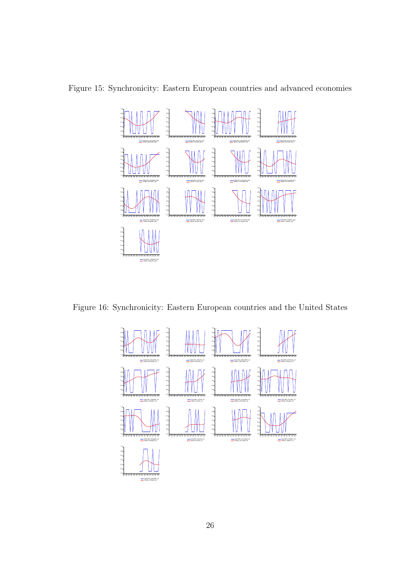

Figure 15: Synchronicity: Eastern European countries and advanced economies

Figure 16: Synchronicity: Eastern European countries and the United States

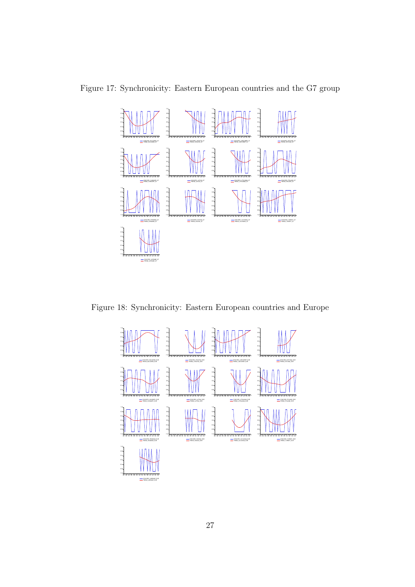

Figure 17: Synchronicity: Eastern European countries and the G7 group

Figure 18: Synchronicity: Eastern European countries and Europe

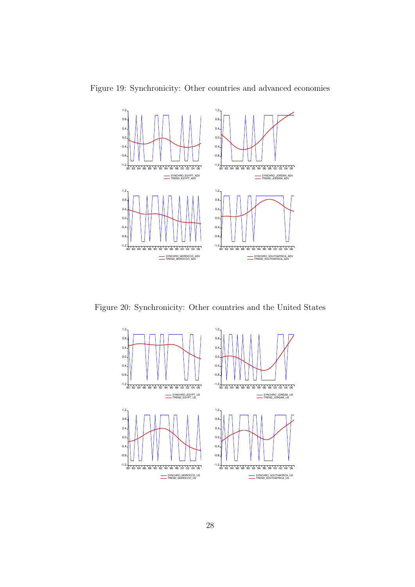



Figure 20: Synchronicity: Other countries and the United States